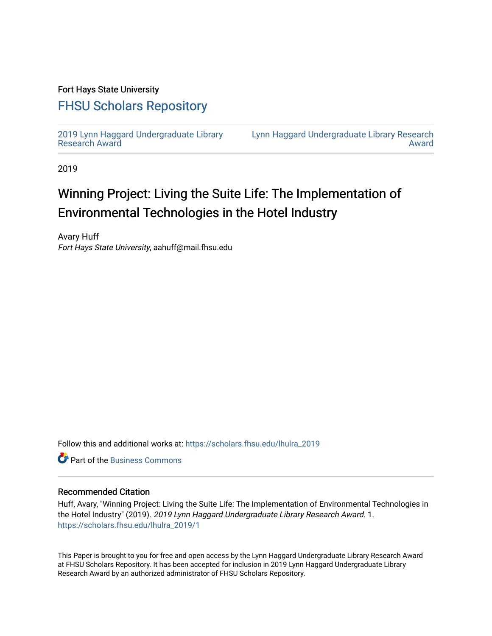### Fort Hays State University

## [FHSU Scholars Repository](https://scholars.fhsu.edu/)

[2019 Lynn Haggard Undergraduate Library](https://scholars.fhsu.edu/lhulra_2019)  [Research Award](https://scholars.fhsu.edu/lhulra_2019)

[Lynn Haggard Undergraduate Library Research](https://scholars.fhsu.edu/lhulra)  [Award](https://scholars.fhsu.edu/lhulra) 

2019

# Winning Project: Living the Suite Life: The Implementation of Environmental Technologies in the Hotel Industry

Avary Huff Fort Hays State University, aahuff@mail.fhsu.edu

Follow this and additional works at: [https://scholars.fhsu.edu/lhulra\\_2019](https://scholars.fhsu.edu/lhulra_2019?utm_source=scholars.fhsu.edu%2Flhulra_2019%2F1&utm_medium=PDF&utm_campaign=PDFCoverPages)

**C** Part of the [Business Commons](http://network.bepress.com/hgg/discipline/622?utm_source=scholars.fhsu.edu%2Flhulra_2019%2F1&utm_medium=PDF&utm_campaign=PDFCoverPages)

#### Recommended Citation

Huff, Avary, "Winning Project: Living the Suite Life: The Implementation of Environmental Technologies in the Hotel Industry" (2019). 2019 Lynn Haggard Undergraduate Library Research Award. 1. [https://scholars.fhsu.edu/lhulra\\_2019/1](https://scholars.fhsu.edu/lhulra_2019/1?utm_source=scholars.fhsu.edu%2Flhulra_2019%2F1&utm_medium=PDF&utm_campaign=PDFCoverPages)

This Paper is brought to you for free and open access by the Lynn Haggard Undergraduate Library Research Award at FHSU Scholars Repository. It has been accepted for inclusion in 2019 Lynn Haggard Undergraduate Library Research Award by an authorized administrator of FHSU Scholars Repository.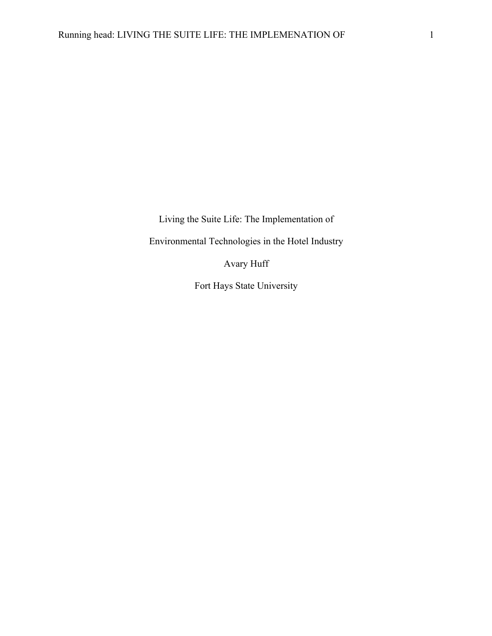Living the Suite Life: The Implementation of

Environmental Technologies in the Hotel Industry

Avary Huff

Fort Hays State University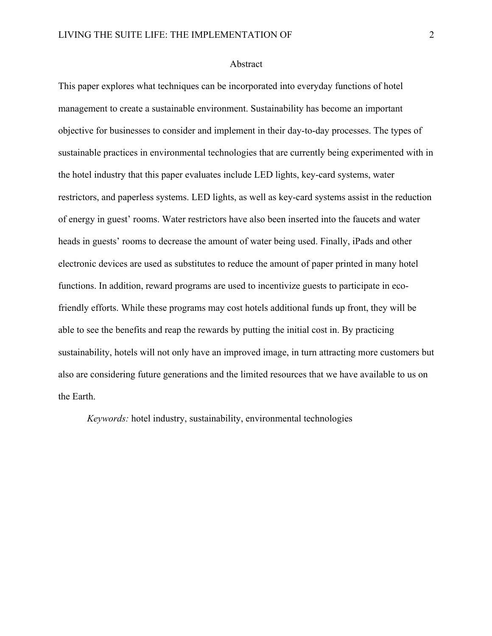#### Abstract

This paper explores what techniques can be incorporated into everyday functions of hotel management to create a sustainable environment. Sustainability has become an important objective for businesses to consider and implement in their day-to-day processes. The types of sustainable practices in environmental technologies that are currently being experimented with in the hotel industry that this paper evaluates include LED lights, key-card systems, water restrictors, and paperless systems. LED lights, as well as key-card systems assist in the reduction of energy in guest' rooms. Water restrictors have also been inserted into the faucets and water heads in guests' rooms to decrease the amount of water being used. Finally, iPads and other electronic devices are used as substitutes to reduce the amount of paper printed in many hotel functions. In addition, reward programs are used to incentivize guests to participate in ecofriendly efforts. While these programs may cost hotels additional funds up front, they will be able to see the benefits and reap the rewards by putting the initial cost in. By practicing sustainability, hotels will not only have an improved image, in turn attracting more customers but also are considering future generations and the limited resources that we have available to us on the Earth.

*Keywords:* hotel industry, sustainability, environmental technologies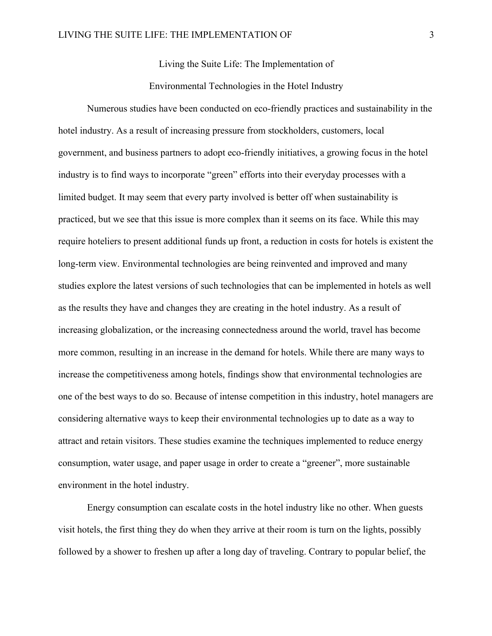Living the Suite Life: The Implementation of

Environmental Technologies in the Hotel Industry

Numerous studies have been conducted on eco-friendly practices and sustainability in the hotel industry. As a result of increasing pressure from stockholders, customers, local government, and business partners to adopt eco-friendly initiatives, a growing focus in the hotel industry is to find ways to incorporate "green" efforts into their everyday processes with a limited budget. It may seem that every party involved is better off when sustainability is practiced, but we see that this issue is more complex than it seems on its face. While this may require hoteliers to present additional funds up front, a reduction in costs for hotels is existent the long-term view. Environmental technologies are being reinvented and improved and many studies explore the latest versions of such technologies that can be implemented in hotels as well as the results they have and changes they are creating in the hotel industry. As a result of increasing globalization, or the increasing connectedness around the world, travel has become more common, resulting in an increase in the demand for hotels. While there are many ways to increase the competitiveness among hotels, findings show that environmental technologies are one of the best ways to do so. Because of intense competition in this industry, hotel managers are considering alternative ways to keep their environmental technologies up to date as a way to attract and retain visitors. These studies examine the techniques implemented to reduce energy consumption, water usage, and paper usage in order to create a "greener", more sustainable environment in the hotel industry.

Energy consumption can escalate costs in the hotel industry like no other. When guests visit hotels, the first thing they do when they arrive at their room is turn on the lights, possibly followed by a shower to freshen up after a long day of traveling. Contrary to popular belief, the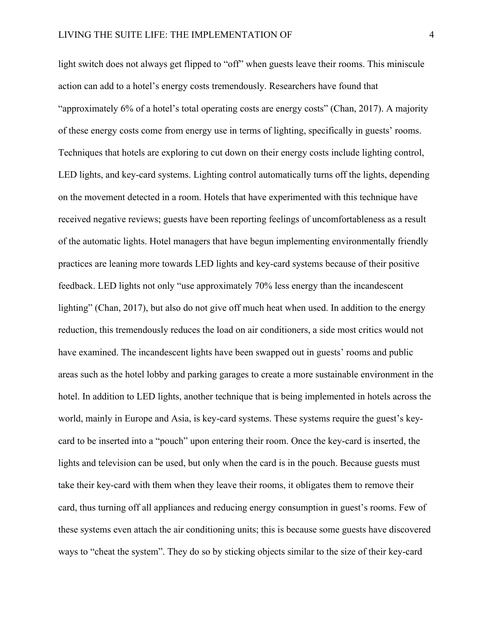light switch does not always get flipped to "off" when guests leave their rooms. This miniscule action can add to a hotel's energy costs tremendously. Researchers have found that "approximately 6% of a hotel's total operating costs are energy costs" (Chan, 2017). A majority of these energy costs come from energy use in terms of lighting, specifically in guests' rooms. Techniques that hotels are exploring to cut down on their energy costs include lighting control, LED lights, and key-card systems. Lighting control automatically turns off the lights, depending on the movement detected in a room. Hotels that have experimented with this technique have received negative reviews; guests have been reporting feelings of uncomfortableness as a result of the automatic lights. Hotel managers that have begun implementing environmentally friendly practices are leaning more towards LED lights and key-card systems because of their positive feedback. LED lights not only "use approximately 70% less energy than the incandescent lighting" (Chan, 2017), but also do not give off much heat when used. In addition to the energy reduction, this tremendously reduces the load on air conditioners, a side most critics would not have examined. The incandescent lights have been swapped out in guests' rooms and public areas such as the hotel lobby and parking garages to create a more sustainable environment in the hotel. In addition to LED lights, another technique that is being implemented in hotels across the world, mainly in Europe and Asia, is key-card systems. These systems require the guest's keycard to be inserted into a "pouch" upon entering their room. Once the key-card is inserted, the lights and television can be used, but only when the card is in the pouch. Because guests must take their key-card with them when they leave their rooms, it obligates them to remove their card, thus turning off all appliances and reducing energy consumption in guest's rooms. Few of these systems even attach the air conditioning units; this is because some guests have discovered ways to "cheat the system". They do so by sticking objects similar to the size of their key-card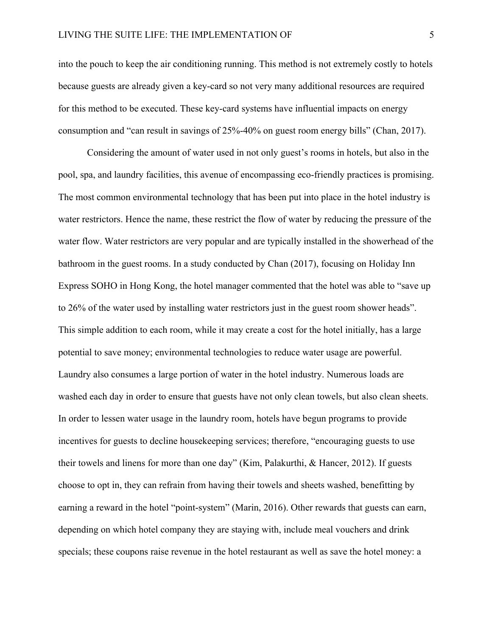into the pouch to keep the air conditioning running. This method is not extremely costly to hotels because guests are already given a key-card so not very many additional resources are required for this method to be executed. These key-card systems have influential impacts on energy consumption and "can result in savings of 25%-40% on guest room energy bills" (Chan, 2017).

Considering the amount of water used in not only guest's rooms in hotels, but also in the pool, spa, and laundry facilities, this avenue of encompassing eco-friendly practices is promising. The most common environmental technology that has been put into place in the hotel industry is water restrictors. Hence the name, these restrict the flow of water by reducing the pressure of the water flow. Water restrictors are very popular and are typically installed in the showerhead of the bathroom in the guest rooms. In a study conducted by Chan (2017), focusing on Holiday Inn Express SOHO in Hong Kong, the hotel manager commented that the hotel was able to "save up to 26% of the water used by installing water restrictors just in the guest room shower heads". This simple addition to each room, while it may create a cost for the hotel initially, has a large potential to save money; environmental technologies to reduce water usage are powerful. Laundry also consumes a large portion of water in the hotel industry. Numerous loads are washed each day in order to ensure that guests have not only clean towels, but also clean sheets. In order to lessen water usage in the laundry room, hotels have begun programs to provide incentives for guests to decline housekeeping services; therefore, "encouraging guests to use their towels and linens for more than one day" (Kim, Palakurthi, & Hancer, 2012). If guests choose to opt in, they can refrain from having their towels and sheets washed, benefitting by earning a reward in the hotel "point-system" (Marin, 2016). Other rewards that guests can earn, depending on which hotel company they are staying with, include meal vouchers and drink specials; these coupons raise revenue in the hotel restaurant as well as save the hotel money: a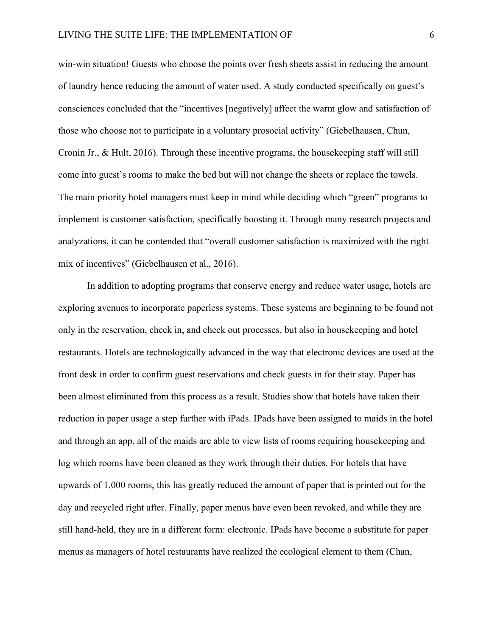win-win situation! Guests who choose the points over fresh sheets assist in reducing the amount of laundry hence reducing the amount of water used. A study conducted specifically on guest's consciences concluded that the "incentives [negatively] affect the warm glow and satisfaction of those who choose not to participate in a voluntary prosocial activity" (Giebelhausen, Chun, Cronin Jr., & Hult, 2016). Through these incentive programs, the housekeeping staff will still come into guest's rooms to make the bed but will not change the sheets or replace the towels. The main priority hotel managers must keep in mind while deciding which "green" programs to implement is customer satisfaction, specifically boosting it. Through many research projects and analyzations, it can be contended that "overall customer satisfaction is maximized with the right mix of incentives" (Giebelhausen et al., 2016).

In addition to adopting programs that conserve energy and reduce water usage, hotels are exploring avenues to incorporate paperless systems. These systems are beginning to be found not only in the reservation, check in, and check out processes, but also in housekeeping and hotel restaurants. Hotels are technologically advanced in the way that electronic devices are used at the front desk in order to confirm guest reservations and check guests in for their stay. Paper has been almost eliminated from this process as a result. Studies show that hotels have taken their reduction in paper usage a step further with iPads. IPads have been assigned to maids in the hotel and through an app, all of the maids are able to view lists of rooms requiring housekeeping and log which rooms have been cleaned as they work through their duties. For hotels that have upwards of 1,000 rooms, this has greatly reduced the amount of paper that is printed out for the day and recycled right after. Finally, paper menus have even been revoked, and while they are still hand-held, they are in a different form: electronic. IPads have become a substitute for paper menus as managers of hotel restaurants have realized the ecological element to them (Chan,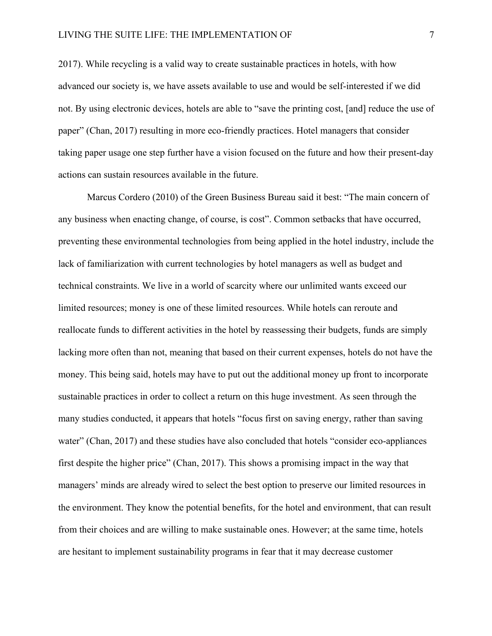2017). While recycling is a valid way to create sustainable practices in hotels, with how advanced our society is, we have assets available to use and would be self-interested if we did not. By using electronic devices, hotels are able to "save the printing cost, [and] reduce the use of paper" (Chan, 2017) resulting in more eco-friendly practices. Hotel managers that consider taking paper usage one step further have a vision focused on the future and how their present-day actions can sustain resources available in the future.

Marcus Cordero (2010) of the Green Business Bureau said it best: "The main concern of any business when enacting change, of course, is cost". Common setbacks that have occurred, preventing these environmental technologies from being applied in the hotel industry, include the lack of familiarization with current technologies by hotel managers as well as budget and technical constraints. We live in a world of scarcity where our unlimited wants exceed our limited resources; money is one of these limited resources. While hotels can reroute and reallocate funds to different activities in the hotel by reassessing their budgets, funds are simply lacking more often than not, meaning that based on their current expenses, hotels do not have the money. This being said, hotels may have to put out the additional money up front to incorporate sustainable practices in order to collect a return on this huge investment. As seen through the many studies conducted, it appears that hotels "focus first on saving energy, rather than saving water" (Chan, 2017) and these studies have also concluded that hotels "consider eco-appliances" first despite the higher price" (Chan, 2017). This shows a promising impact in the way that managers' minds are already wired to select the best option to preserve our limited resources in the environment. They know the potential benefits, for the hotel and environment, that can result from their choices and are willing to make sustainable ones. However; at the same time, hotels are hesitant to implement sustainability programs in fear that it may decrease customer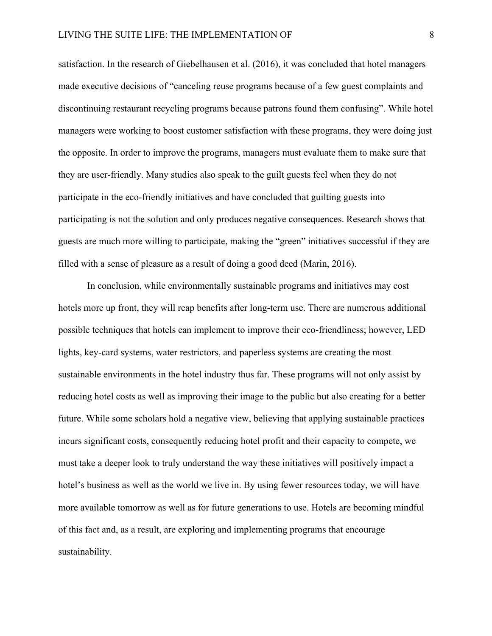satisfaction. In the research of Giebelhausen et al. (2016), it was concluded that hotel managers made executive decisions of "canceling reuse programs because of a few guest complaints and discontinuing restaurant recycling programs because patrons found them confusing". While hotel managers were working to boost customer satisfaction with these programs, they were doing just the opposite. In order to improve the programs, managers must evaluate them to make sure that they are user-friendly. Many studies also speak to the guilt guests feel when they do not participate in the eco-friendly initiatives and have concluded that guilting guests into participating is not the solution and only produces negative consequences. Research shows that guests are much more willing to participate, making the "green" initiatives successful if they are filled with a sense of pleasure as a result of doing a good deed (Marin, 2016).

In conclusion, while environmentally sustainable programs and initiatives may cost hotels more up front, they will reap benefits after long-term use. There are numerous additional possible techniques that hotels can implement to improve their eco-friendliness; however, LED lights, key-card systems, water restrictors, and paperless systems are creating the most sustainable environments in the hotel industry thus far. These programs will not only assist by reducing hotel costs as well as improving their image to the public but also creating for a better future. While some scholars hold a negative view, believing that applying sustainable practices incurs significant costs, consequently reducing hotel profit and their capacity to compete, we must take a deeper look to truly understand the way these initiatives will positively impact a hotel's business as well as the world we live in. By using fewer resources today, we will have more available tomorrow as well as for future generations to use. Hotels are becoming mindful of this fact and, as a result, are exploring and implementing programs that encourage sustainability.